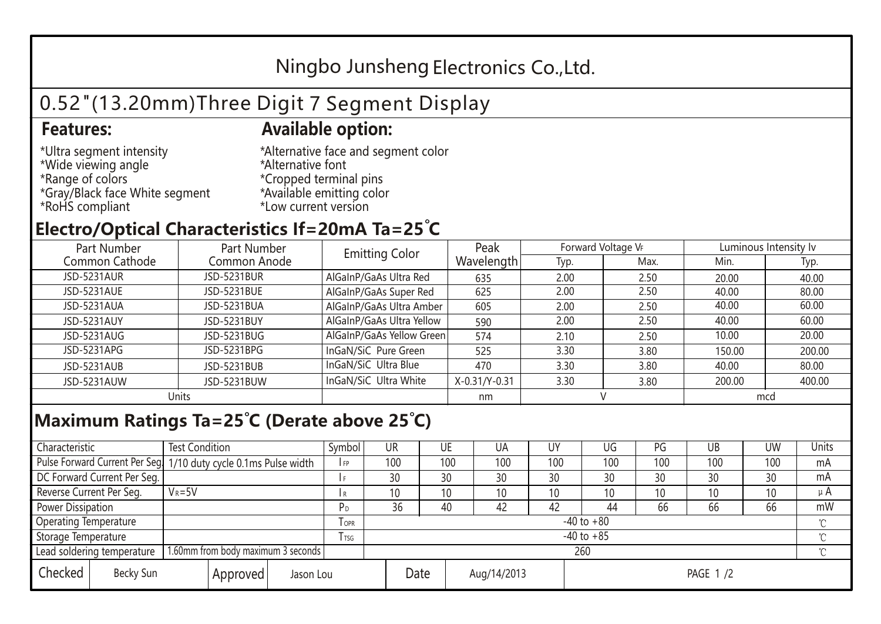## Ningbo Junsheng Electronics Co.,Ltd.

# 0.52"(13.20mm)Three Digit 7 Segment Display

### **Features: Available option:**

- \*Ultra segment intensity \*Wide viewing angle \*Range of colors \*Gray/Black face White segment \*RoHS compliant
- \*Alternative face and segment color \*Alternative font \*Cropped terminal pins \*Available emitting color \*Low current version

### **Electro/Optical Characteristics If=20mA Ta=25 C**

| Part Number        | Part Number        | <b>Emitting Color</b>     | Peak          | Forward Voltage VF |      | Luminous Intensity lv |        |  |
|--------------------|--------------------|---------------------------|---------------|--------------------|------|-----------------------|--------|--|
| Common Cathode     | Common Anode       |                           | Wavelength    | Typ.               | Max. | Min.                  | Typ.   |  |
| <b>JSD-5231AUR</b> | <b>JSD-5231BUR</b> | AlGaInP/GaAs Ultra Red    | 635           | 2.00               | 2.50 | 20.00                 | 40.00  |  |
| <b>JSD-5231AUE</b> | JSD-5231BUE        | AlGaInP/GaAs Super Red    | 625           | 2.00               | 2.50 | 40.00                 | 80.00  |  |
| JSD-5231AUA        | JSD-5231BUA        | AlGaInP/GaAs Ultra Amber  | 605           | 2.00               | 2.50 | 40.00                 | 60.00  |  |
| JSD-5231AUY        | JSD-5231BUY        | AlGaInP/GaAs Ultra Yellow | 590           | 2.00               | 2.50 | 40.00                 | 60.00  |  |
| JSD-5231AUG        | JSD-5231BUG        | AlGaInP/GaAs Yellow Green | 574           | 2.10               | 2.50 | 10.00                 | 20.00  |  |
| JSD-5231APG        | JSD-5231BPG        | InGaN/SiC Pure Green      | 525           | 3.30               | 3.80 | 150.00                | 200.00 |  |
| JSD-5231AUB        | JSD-5231BUB        | InGaN/SiC Ultra Blue      | 470           | 3.30               | 3.80 | 40.00                 | 80.00  |  |
| JSD-5231AUW        | JSD-5231BUW        | InGaN/SiC Ultra White     | X-0.31/Y-0.31 | 3.30               | 3.80 | 200.00                | 400.00 |  |
| Units              |                    |                           | nm            |                    |      | mcd                   |        |  |

#### **Maximum Ratings Ta=25°C (Derate above 25°C)**

| Characteristic                                |            | <b>Test Condition</b><br>Symbol                                  |                                 |                | UR              |  | UE  | UA  | UY  | UG  | PG  | UB              | <b>UW</b> | <b>Units</b> |
|-----------------------------------------------|------------|------------------------------------------------------------------|---------------------------------|----------------|-----------------|--|-----|-----|-----|-----|-----|-----------------|-----------|--------------|
|                                               |            | Pulse Forward Current Per Seg. 1/10 duty cycle 0.1ms Pulse width |                                 |                | 100             |  | 100 | 100 | 100 | 100 | 100 | 100             | 100       | mA           |
| DC Forward Current Per Seg.                   |            |                                                                  |                                 |                | 30              |  | 30  | 30  | 30  | 30  | 30  | 30              | 30        | mA           |
| Reverse Current Per Seg.                      | $V_R = 5V$ |                                                                  |                                 | I R            | 10 <sup>°</sup> |  | 10  | 10  | 10  | 10  | 10  | 10 <sup>°</sup> | 10        | $\mu$ A      |
| <b>Power Dissipation</b>                      |            |                                                                  |                                 |                | 36              |  | 40  | 42  | 42  | 44  | 66  | 66              | 66        | mW           |
| <b>Operating Temperature</b>                  |            |                                                                  | <b>OPR</b>                      | $-40$ to $+80$ |                 |  |     |     |     |     |     |                 | $\sim$    |              |
| Storage Temperature                           |            | <b>I</b> TSG                                                     | $-40$ to $+85$                  |                |                 |  |     |     |     |     |     | $\sim$          |           |              |
| Lead soldering temperature                    |            | 1.60mm from body maximum 3 seconds                               |                                 |                | 260<br>$\gamma$ |  |     |     |     |     |     |                 |           |              |
| Checked<br>Becky Sun<br>Approved<br>Jason Lou |            |                                                                  | Date<br>Aug/14/2013<br>PAGE 1/2 |                |                 |  |     |     |     |     |     |                 |           |              |